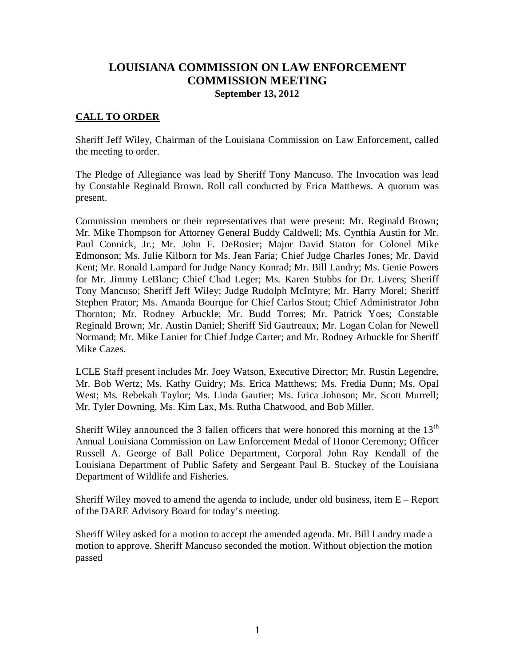# **LOUISIANA COMMISSION ON LAW ENFORCEMENT COMMISSION MEETING September 13, 2012**

## **CALL TO ORDER**

Sheriff Jeff Wiley, Chairman of the Louisiana Commission on Law Enforcement, called the meeting to order.

The Pledge of Allegiance was lead by Sheriff Tony Mancuso. The Invocation was lead by Constable Reginald Brown. Roll call conducted by Erica Matthews. A quorum was present.

Commission members or their representatives that were present: Mr. Reginald Brown; Mr. Mike Thompson for Attorney General Buddy Caldwell; Ms. Cynthia Austin for Mr. Paul Connick, Jr.; Mr. John F. DeRosier; Major David Staton for Colonel Mike Edmonson; Ms. Julie Kilborn for Ms. Jean Faria; Chief Judge Charles Jones; Mr. David Kent; Mr. Ronald Lampard for Judge Nancy Konrad; Mr. Bill Landry; Ms. Genie Powers for Mr. Jimmy LeBlanc; Chief Chad Leger; Ms. Karen Stubbs for Dr. Livers; Sheriff Tony Mancuso; Sheriff Jeff Wiley; Judge Rudolph McIntyre; Mr. Harry Morel; Sheriff Stephen Prator; Ms. Amanda Bourque for Chief Carlos Stout; Chief Administrator John Thornton; Mr. Rodney Arbuckle; Mr. Budd Torres; Mr. Patrick Yoes; Constable Reginald Brown; Mr. Austin Daniel; Sheriff Sid Gautreaux; Mr. Logan Colan for Newell Normand; Mr. Mike Lanier for Chief Judge Carter; and Mr. Rodney Arbuckle for Sheriff Mike Cazes.

LCLE Staff present includes Mr. Joey Watson, Executive Director; Mr. Rustin Legendre, Mr. Bob Wertz; Ms. Kathy Guidry; Ms. Erica Matthews; Ms. Fredia Dunn; Ms. Opal West; Ms. Rebekah Taylor; Ms. Linda Gautier; Ms. Erica Johnson; Mr. Scott Murrell; Mr. Tyler Downing, Ms. Kim Lax, Ms. Rutha Chatwood, and Bob Miller.

Sheriff Wiley announced the 3 fallen officers that were honored this morning at the  $13<sup>th</sup>$ Annual Louisiana Commission on Law Enforcement Medal of Honor Ceremony; Officer Russell A. George of Ball Police Department, Corporal John Ray Kendall of the Louisiana Department of Public Safety and Sergeant Paul B. Stuckey of the Louisiana Department of Wildlife and Fisheries.

Sheriff Wiley moved to amend the agenda to include, under old business, item  $E -$  Report of the DARE Advisory Board for today's meeting.

Sheriff Wiley asked for a motion to accept the amended agenda. Mr. Bill Landry made a motion to approve. Sheriff Mancuso seconded the motion. Without objection the motion passed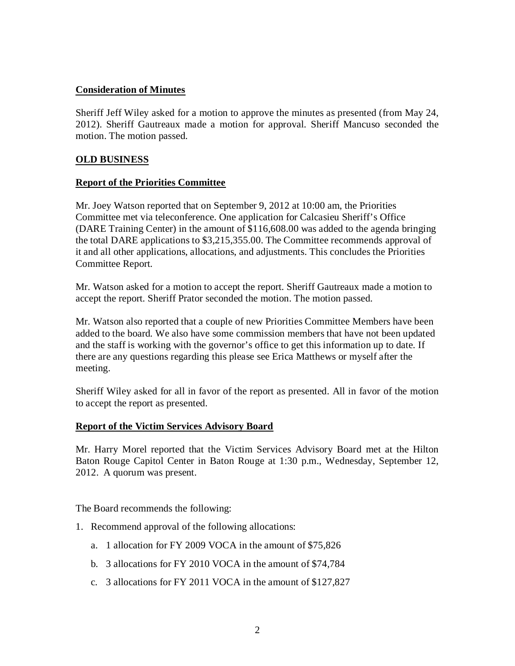# **Consideration of Minutes**

Sheriff Jeff Wiley asked for a motion to approve the minutes as presented (from May 24, 2012). Sheriff Gautreaux made a motion for approval. Sheriff Mancuso seconded the motion. The motion passed.

# **OLD BUSINESS**

### **Report of the Priorities Committee**

Mr. Joey Watson reported that on September 9, 2012 at 10:00 am, the Priorities Committee met via teleconference. One application for Calcasieu Sheriff's Office (DARE Training Center) in the amount of \$116,608.00 was added to the agenda bringing the total DARE applications to \$3,215,355.00. The Committee recommends approval of it and all other applications, allocations, and adjustments. This concludes the Priorities Committee Report.

Mr. Watson asked for a motion to accept the report. Sheriff Gautreaux made a motion to accept the report. Sheriff Prator seconded the motion. The motion passed.

Mr. Watson also reported that a couple of new Priorities Committee Members have been added to the board. We also have some commission members that have not been updated and the staff is working with the governor's office to get this information up to date. If there are any questions regarding this please see Erica Matthews or myself after the meeting.

Sheriff Wiley asked for all in favor of the report as presented. All in favor of the motion to accept the report as presented.

### **Report of the Victim Services Advisory Board**

Mr. Harry Morel reported that the Victim Services Advisory Board met at the Hilton Baton Rouge Capitol Center in Baton Rouge at 1:30 p.m., Wednesday, September 12, 2012. A quorum was present.

The Board recommends the following:

- 1. Recommend approval of the following allocations:
	- a. 1 allocation for FY 2009 VOCA in the amount of \$75,826
	- b. 3 allocations for FY 2010 VOCA in the amount of \$74,784
	- c. 3 allocations for FY 2011 VOCA in the amount of \$127,827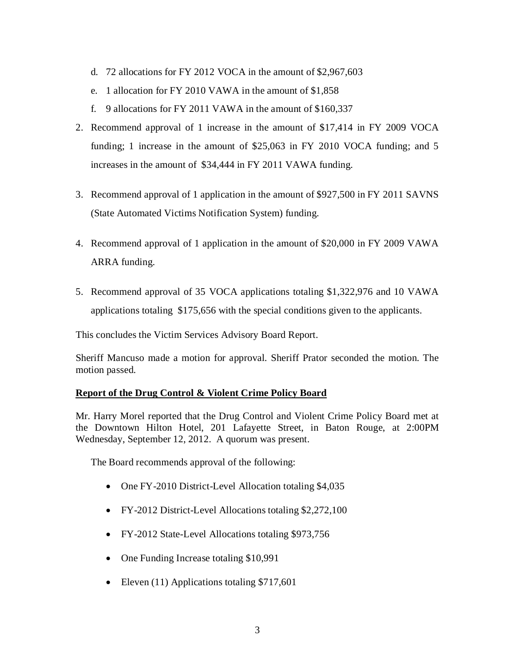- d. 72 allocations for FY 2012 VOCA in the amount of \$2,967,603
- e. 1 allocation for FY 2010 VAWA in the amount of \$1,858
- f. 9 allocations for FY 2011 VAWA in the amount of \$160,337
- 2. Recommend approval of 1 increase in the amount of \$17,414 in FY 2009 VOCA funding; 1 increase in the amount of \$25,063 in FY 2010 VOCA funding; and 5 increases in the amount of \$34,444 in FY 2011 VAWA funding.
- 3. Recommend approval of 1 application in the amount of \$927,500 in FY 2011 SAVNS (State Automated Victims Notification System) funding.
- 4. Recommend approval of 1 application in the amount of \$20,000 in FY 2009 VAWA ARRA funding.
- 5. Recommend approval of 35 VOCA applications totaling \$1,322,976 and 10 VAWA applications totaling \$175,656 with the special conditions given to the applicants.

This concludes the Victim Services Advisory Board Report.

Sheriff Mancuso made a motion for approval. Sheriff Prator seconded the motion. The motion passed.

### **Report of the Drug Control & Violent Crime Policy Board**

Mr. Harry Morel reported that the Drug Control and Violent Crime Policy Board met at the Downtown Hilton Hotel, 201 Lafayette Street, in Baton Rouge, at 2:00PM Wednesday, September 12, 2012. A quorum was present.

The Board recommends approval of the following:

- One FY-2010 District-Level Allocation totaling \$4,035
- FY-2012 District-Level Allocations totaling \$2,272,100
- FY-2012 State-Level Allocations totaling \$973,756
- One Funding Increase totaling \$10,991
- Eleven (11) Applications totaling \$717,601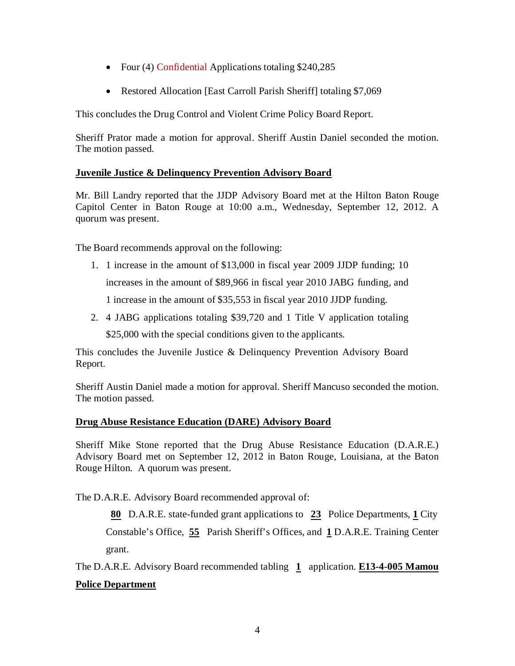- Four (4) Confidential Applications totaling \$240,285
- Restored Allocation [East Carroll Parish Sheriff] totaling \$7,069

This concludes the Drug Control and Violent Crime Policy Board Report.

Sheriff Prator made a motion for approval. Sheriff Austin Daniel seconded the motion. The motion passed.

# **Juvenile Justice & Delinquency Prevention Advisory Board**

Mr. Bill Landry reported that the JJDP Advisory Board met at the Hilton Baton Rouge Capitol Center in Baton Rouge at 10:00 a.m., Wednesday, September 12, 2012. A quorum was present.

The Board recommends approval on the following:

1. 1 increase in the amount of \$13,000 in fiscal year 2009 JJDP funding; 10

increases in the amount of \$89,966 in fiscal year 2010 JABG funding, and

1 increase in the amount of \$35,553 in fiscal year 2010 JJDP funding.

2. 4 JABG applications totaling \$39,720 and 1 Title V application totaling

\$25,000 with the special conditions given to the applicants.

This concludes the Juvenile Justice & Delinquency Prevention Advisory Board Report.

Sheriff Austin Daniel made a motion for approval. Sheriff Mancuso seconded the motion. The motion passed.

# **Drug Abuse Resistance Education (DARE) Advisory Board**

Sheriff Mike Stone reported that the Drug Abuse Resistance Education (D.A.R.E.) Advisory Board met on September 12, 2012 in Baton Rouge, Louisiana, at the Baton Rouge Hilton. A quorum was present.

The D.A.R.E. Advisory Board recommended approval of:

 **80** D.A.R.E. state-funded grant applications to **23** Police Departments, **1** City Constable's Office, **55** Parish Sheriff's Offices, and **1** D.A.R.E. Training Center grant.

The D.A.R.E. Advisory Board recommended tabling **1** application. **E13-4-005 Mamou**

# **Police Department**